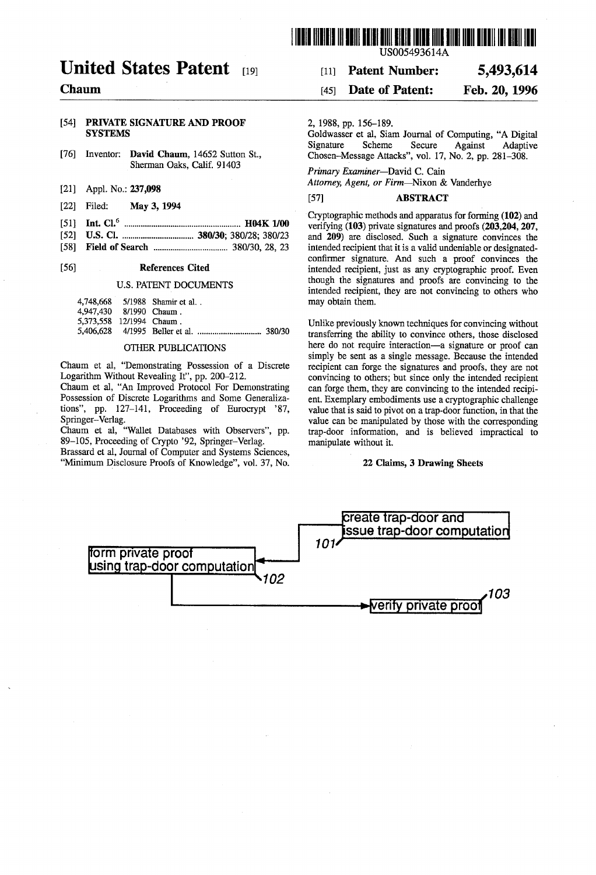

# United States Patent [191]

# Chaum

### [54] PRIVATE SIGNATURE AND PROOF **SYSTEMS**

- [76] Inventor: David Chaum, 14652 Sutton St., Sherman Oaks, Calif. 91403
- [21] Appl. No.: 237,098
- [22] Filed: May 3, 1994
- $[51]$
- $[52]$
- [58]

## [56] **References Cited**

### U.S. PATENT DOCUMENTS

4,748,668 5/1988 Shamir et al. .<br>4,947,430 8/1990 Chaum. 8/1990 Chaum.<br>12/1994 Chaum. 5,373,558<br>5,406,628 5,406,628 4/1995 Beller et al. ............................ .. 380/30

### OTHER PUBLICATIONS

Chaum et al, "Demonstrating Possession of a Discrete Logarithm Without Revealing It", pp. 200-212.

Chaum et al, "An Improved Protocol For Demonstrating Possession of Discrete Logarithms and Some Generaliza tions", pp. l27—l4l, Proceeding of Eurocrypt '87, Springer-Verlag.

Chaum et al, "Wallet Databases with Observers", pp. 89-105, Proceeding of Crypto '92, Springer-Verlag.

Brassard et al, Journal of Computer and Systems Sciences, "Minimum Disclosure Proofs of Knowledge", vol. 37, No. 2, 1988, pp. l56—189.

Goldwasser et al, Siam Journal of Computing, "A Digital<br>Signature Scheme Secure Against Adaptive Secure Against Adaptive Chosen-Message Attacks", vol. 17, No. 2, pp. 281-308.

5,493,614

Feb. 20, 1996

Primary Examiner—David C. Cain

[11] Patent Number: [45] Date of Patent:

Attorney, Agent, or Firm-Nixon & Vanderhye

## [57] ABSTRACT

'Cryptographic methods and apparatus for forming (102) and verifying (103) private signatures and proofs (203,204, 207, and 209) are disclosed. Such a signature convinces the intended recipient that it is a valid undeniable or designated confirmer signature. And such a proof convinces the intended recipient, just as any cryptographic proof. Even though the signatures and proofs are convincing to the intended recipient, they are not convincing to others who may obtain them.

Unlike previously known techniques for convincing without transferring the ability to convince others, those disclosed here do not require interaction-a signature or proof can simply be sent as a single message. Because the intended recipient can forge the signatures and proofs, they are not convincing to others; but since only the intended recipient can forge them, they are convincing to the intended recipi ent. Exemplary embodiments use a cryptographic challenge value that is said to pivot on a trap-door function, in that the value can be manipulated by those with the corresponding trap-door information, and is believed impractical to manipulate without it.

# 22 Claims, 3 Drawing Sheets

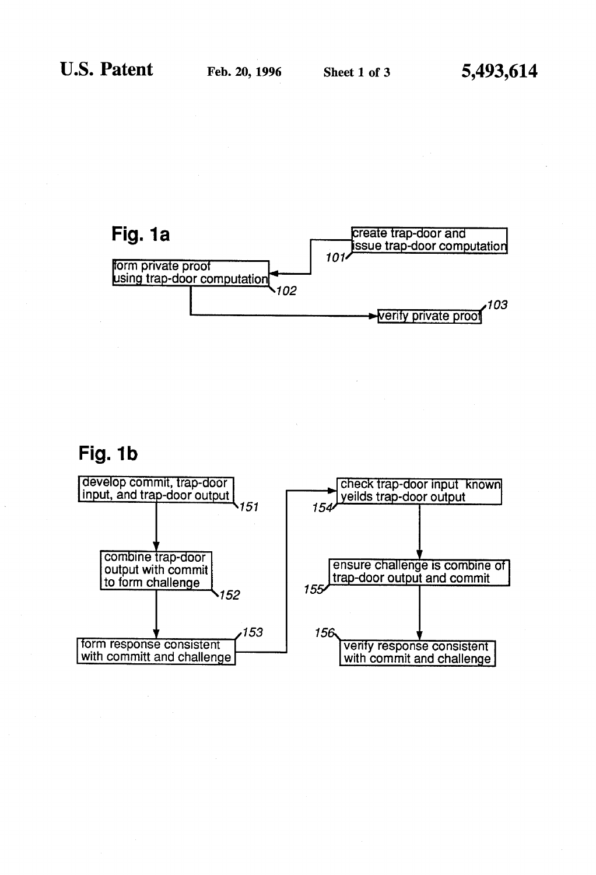

# Fig. 1b

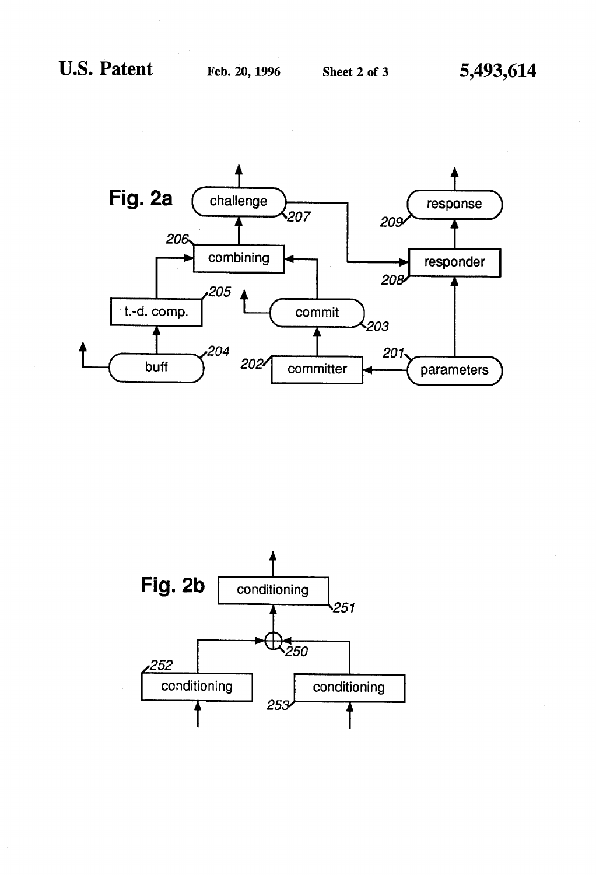

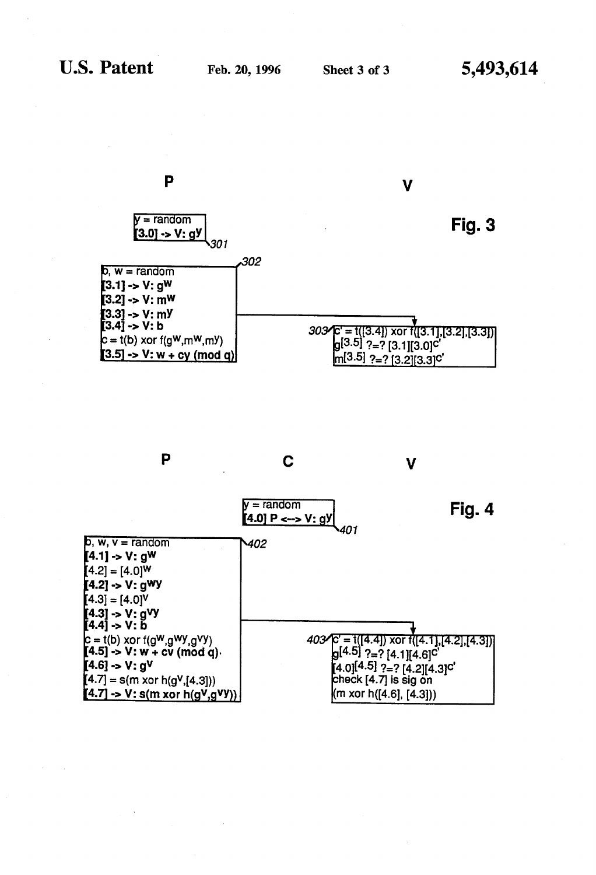

P

V

|                                                                                                                  | $y = random$<br>[4.0] P <--> V: g <sup>y</sup>  <br>-401 | Fig. 4                                                               |
|------------------------------------------------------------------------------------------------------------------|----------------------------------------------------------|----------------------------------------------------------------------|
| $b, w, v = random$                                                                                               | \402                                                     |                                                                      |
| [4.1] -> V: g <sup>w</sup>                                                                                       |                                                          |                                                                      |
| $[4.2] = [4.0]$ <sup>w</sup>                                                                                     |                                                          |                                                                      |
| $[4.2]$ -> V: $g$ WY                                                                                             |                                                          |                                                                      |
| $[4.3] = [4.0]$ <sup>V</sup>                                                                                     |                                                          |                                                                      |
| $[4.3] \rightarrow V: gV$                                                                                        |                                                          |                                                                      |
| [4.4] -> V: b                                                                                                    |                                                          |                                                                      |
|                                                                                                                  |                                                          | $403$ $\mathcal{C} = \frac{1}{4}$ ([4.4]) xor f([4.1], [4.2], [4.3]) |
| <b>c</b> = t(b) xor f(g <sup>w</sup> ,g <sup>wy</sup> ,g <sup>vy</sup> )<br><b>[4.5] -&gt; V: w + cv (mod q)</b> | $a[4.5]$ ?=? [4.1][4.6] <sup>C</sup>                     |                                                                      |
| [4.6] -> V: g <sup>v</sup>                                                                                       | [4.0] <sup>[4.5]</sup> ?=? [4.2][4.3] <sup>c'</sup>      |                                                                      |
| $[4.7]$ = s(m xor h(g <sup>v</sup> ,[4.3]))                                                                      | check [4.7] is sig on                                    |                                                                      |
| $[4.7] \rightarrow V: s(m xor h(gV, gV))$                                                                        | (m xor h([4.6], [4.3]))                                  |                                                                      |

 $\mathbf C$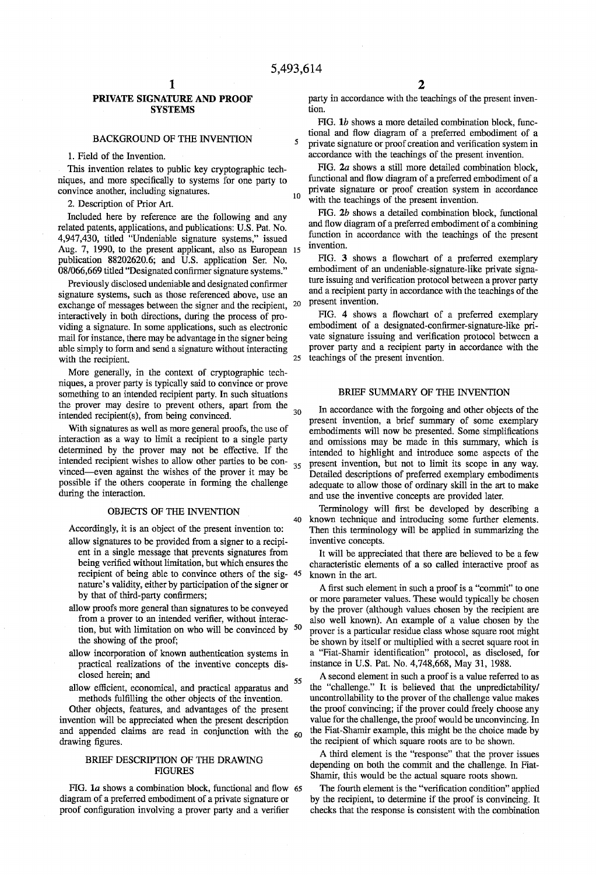$\overline{\phantom{a}}$ 

 $10$ 

 $25$ 

 $30^{\circ}$ 

55

#### PRIVATE SIGNATURE AND PROOF **SYSTEMS**

# **BACKGROUND OF THE INVENTION**

1. Field of the Invention.

This invention relates to public key cryptographic techniques, and more specifically to systems for one party to convince another, including signatures.

2. Description of Prior Art.

Included here by reference are the following and any related patents, applications, and publications: U.S. Pat. No. 4,947,430, titled "Undeniable signature systems," issued Aug. 7, 1990, to the present applicant, also as European 15 publication 88202620.6; and U.S. application Ser. No. 08/066,669 titled "Designated confirmer signature systems."

Previously disclosed undeniable and designated confirmer signature systems, such as those referenced above, use an exchange of messages between the signer and the recipient, 20 interactively in both directions, during the process of providing a signature. In some applications, such as electronic mail for instance, there may be advantage in the signer being able simply to form and send a signature without interacting with the recipient.

More generally, in the context of cryptographic techniques, a prover party is typically said to convince or prove something to an intended recipient party. In such situations the prover may desire to prevent others, apart from the intended recipient(s), from being convinced.

With signatures as well as more general proofs, the use of interaction as a way to limit a recipient to a single party determined by the prover may not be effective. If the intended recipient wishes to allow other parties to be con-35 vinced—even against the wishes of the prover it may be possible if the others cooperate in forming the challenge during the interaction.

# OBJECTS OF THE INVENTION

Accordingly, it is an object of the present invention to:

- allow signatures to be provided from a signer to a recipient in a single message that prevents signatures from being verified without limitation, but which ensures the recipient of being able to convince others of the sig- 45 nature's validity, either by participation of the signer or by that of third-party confirmers;
- allow proofs more general than signatures to be conveyed from a prover to an intended verifier, without interaction, but with limitation on who will be convinced by  $50$ the showing of the proof;
- allow incorporation of known authentication systems in practical realizations of the inventive concepts disclosed herein: and
- allow efficient, economical, and practical apparatus and methods fulfilling the other objects of the invention.

Other objects, features, and advantages of the present invention will be appreciated when the present description and appended claims are read in conjunction with the  $60$ drawing figures.

### BRIEF DESCRIPTION OF THE DRAWING **FIGURES**

FIG. 1a shows a combination block, functional and flow 65 diagram of a preferred embodiment of a private signature or proof configuration involving a prover party and a verifier

party in accordance with the teachings of the present invention.

FIG. 1b shows a more detailed combination block, functional and flow diagram of a preferred embodiment of a private signature or proof creation and verification system in accordance with the teachings of the present invention.

FIG. 2a shows a still more detailed combination block. functional and flow diagram of a preferred embodiment of a private signature or proof creation system in accordance with the teachings of the present invention.

FIG. 2b shows a detailed combination block, functional and flow diagram of a preferred embodiment of a combining function in accordance with the teachings of the present invention.

FIG. 3 shows a flowchart of a preferred exemplary embodiment of an undeniable-signature-like private signature issuing and verification protocol between a prover party and a recipient party in accordance with the teachings of the present invention.

FIG. 4 shows a flowchart of a preferred exemplary embodiment of a designated-confirmer-signature-like private signature issuing and verification protocol between a prover party and a recipient party in accordance with the teachings of the present invention.

# BRIEF SUMMARY OF THE INVENTION

In accordance with the forgoing and other objects of the present invention, a brief summary of some exemplary embodiments will now be presented. Some simplifications and omissions may be made in this summary, which is intended to highlight and introduce some aspects of the present invention, but not to limit its scope in any way. Detailed descriptions of preferred exemplary embodiments adequate to allow those of ordinary skill in the art to make and use the inventive concepts are provided later.

Terminology will first be developed by describing a known technique and introducing some further elements. 40 Then this terminology will be applied in summarizing the inventive concepts.

It will be appreciated that there are believed to be a few characteristic elements of a so called interactive proof as known in the art.

A first such element in such a proof is a "commit" to one or more parameter values. These would typically be chosen by the prover (although values chosen by the recipient are also well known). An example of a value chosen by the prover is a particular residue class whose square root might be shown by itself or multiplied with a secret square root in a "Fiat-Shamir identification" protocol, as disclosed, for instance in U.S. Pat. No. 4,748,668, May 31, 1988.

A second element in such a proof is a value referred to as the "challenge." It is believed that the unpredictability/ uncontrollability to the prover of the challenge value makes the proof convincing; if the prover could freely choose any value for the challenge, the proof would be unconvincing. In the Fiat-Shamir example, this might be the choice made by the recipient of which square roots are to be shown.

A third element is the "response" that the prover issues depending on both the commit and the challenge. In Fiat-Shamir, this would be the actual square roots shown.

The fourth element is the "verification condition" applied by the recipient, to determine if the proof is convincing. It checks that the response is consistent with the combination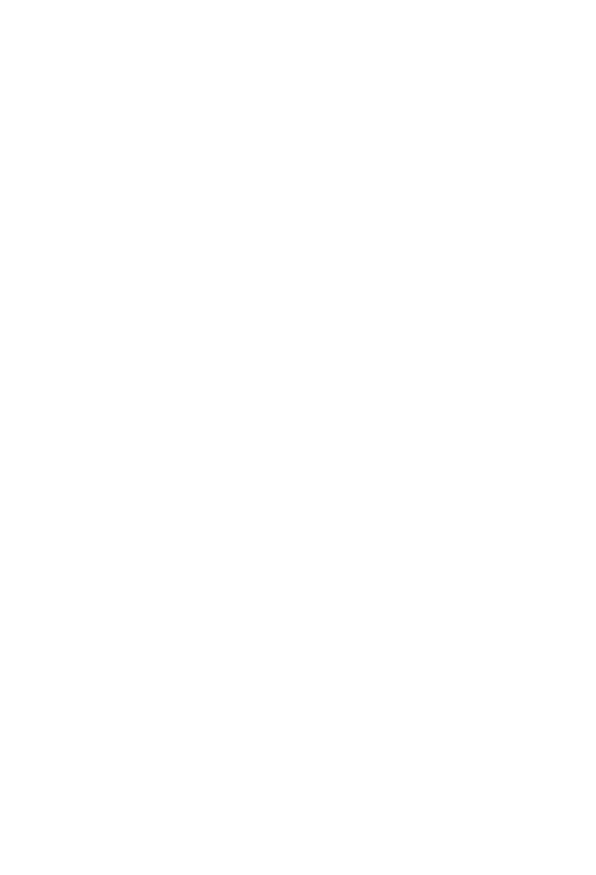of the commit and the challenge. This might, in Fiat-Shamir, include squaring and testing for equality.

There is a technique, well known in the art, for converting such an "interactive proof" to a non-interactive or "selfauthenticating proof," like the ordinary digital signature. 5 The prover chooses the challenge as the output of a one-way function applied to the commit. This is believed to keep the challenge substantially outside the control of the prover, and is accordingly believed to make the proof convincing to the recipient. The recipient need send nothing to the prover and the prover need send only the commit and response. To verify, the recipient applies the one-way function to the received commit, thereby obtaining the challenge, and then applies the verification condition on the received commit, constructed challenge, and received response.

An additional element, that will be used in describing the inventive concepts, will now be introduced. A "trap-door" operation is one that is substantially easy for any party to compute, but which only the intended recipient can invert (although the inverse need not be unique). An example of  $20$ such a mapping is the RSA encryption function. Anyone can encrypt a message with it, but only the recipient, who holds the private key, can decrypt it.

The basic forming, transmitting, and testing of a proof or signature in accordance with the teachings of the present  $_{25}$ invention will now be summarized.

The challenge is formed as the exclusive-or of two values: the first value, is the commit; the second is the output of a trap-door one way function. (For extra security, more than a simple x-or could be used, as will be described in detail 30 later.) Because the trap-door function without knowledge of the trapdoor information is in effect a one-way function, the output of this function may be assumed outside the control of the prover. The input to the trap-door function is believed best simply chosen by the prover at random, and will be 35 called the "buff."

The values transmitted by the prover to the intended recipient include the commit, the buff, and the response.

To test the received proof, the intended recipient first  $40$ m-creates the challenge by exclusive-or of two quantities. The first is constructed by applying the one-way function to the received commit. The second is obtained by applying the tran-door one-way function to the received buff. Testing of the verification condition is again on the received commit, 45 constructed challenge, and received response. Of course an invalid proof, for which the verification condition fails, will not be convincing to anyone. If the verification condition succeeds, the proof is believed to be convincing to the intended recipient. 50

A valid proof is believed not to be convincing, however, to any party substantially other than the intended recipient. By inverting the trap-door function, the intended recipient could choose any desired challenge and create a corresponding buff. And such control over the challenge, as already  $55$ mentioned above, is believed to allow arbitrary such proofs to be created. Therefor, it is believed, any such proof would be substantially unconvincing to parties other than the intended recipient, because false proofs can be created and issued by the intended recipient. But the proofs remain  $60$ convincing to the intended recipient, because he knows only he can create false proofs and he knows which, if any, false proofs he has created.

Some examples of how this inventive concept might be applied to advantage are now presented. 65

A substantially undeniable signature can be shown convincingly to its intended recipient using private signatures. A suitable basis is believed to be an interactive proof, using a commit created by the prover, for the equivalence of two discrete log problems, such as those disclosed in: "Demonstrating possession of a discrete log without revealing it," D. Chaum, J. -H. Evertse, J. van de Graaf, & R. Peralta, in Proceeding of Crypto '86, Springer-Verlag, pp. 200-212: "An improved protocol for demonstrating possession of a discrete logarithm and some generalizations," D. Chaum, J. -H. Evertse & J. van de Graaf, in Proceeding of Eurocrypt '87, Springer-Verlag, pp. 127-141; and "Wallet databases with observers," D. Chaum & T. P. Pedersen, Proceeding of Crypto '92, Springer-Verlag, pp. 89-105.

It will be assumed, for clarity, that the message to be signed is the result of a suitable one-way or hash function applied to some mutually known meaningful or otherwise desired string. The proof will then be that the undeniable signature has the same discrete log relative to the message as the signer's public key has relative to the public generator on which it is based. The interactive confirmation and denial protocols, disclosed for instance in the above referenced 'Undeniable signatures systems" may then be employed directly in the exceptional cases in which parties may wish to invoke them.

A designated confirmer signature can also be shown convincingly using a similar technique. The basic designated confirmer technique presented in "Designated confirmer signature systems," referenced above, can be applied but the proof of the signature showing part would be achieved differently.

For this it is believed sufficient to prove that the undeniable signature on a random element does in fact validly correspond to the public key of the designated confirmer (since a signature on the actual message can then be hinged on this signature on a random message). The above mentioned technique for showing the equivalence of two discrete logs can again be applied. But this time instead of showing that the generator and public key are related by the same exponent that relates the message and the signature, it is shown that the two base numbers are related by the same exponent that relates the two powers. That is, the random element has the same discrete log relative to the generator as the signature has relative to the public key.

# **GENERAL DESCRIPTION**

The drawing figures and the detailed descriptions provided later make a number of simplifying assumptions for concreteness and for clarity in exposition. It will be appreciated, however, that these should not be taken to limit the scope of the invention.

Lines and arrows in the drawing figures, for instance, represent messages (apart from the straight lines in FIG.  $1b$ ), which may be held initially or delayed on their way, passed through various parties, encoded and decoded cryptographically or otherwise to provide their authenticity and/or secrecy and/or error detection and/or error recovery. Thus the particular means or methods whereby messages are transferred are not essential to the present invention, and it is anticipated that any technique may be employed in this regard.

The term "party" is used herein to indicate an entity with control over at least the secrecy of some information, usually at least one key. It is anticipated that a plurality of people may each know all or in effect part of some key, and they might be thought of collectively as a party. In other cases, a key may be substantially unknown to people, and reside in

 $15\,$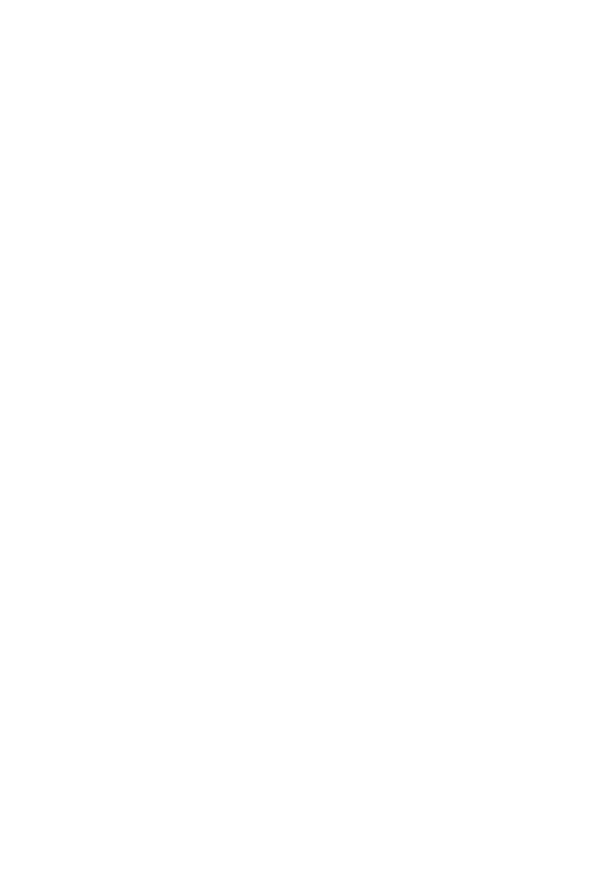some physical device, and then the device itself or those who control it from time to time may be regarded as parties.

Assigning a variable a "random" value performs the function of creating a value that should not be readily determined by at least some party. Many means and methods 5 are known in the art for generating such unpredictable quantities, often called keys. Some are based on physical phenomena, such as noise in semiconductors, or patterns detected in humans pushing buttons, or possibly deterministic cryptographic techniques sometimes called pseudoran- 10 dom generators. It is well known in the art that these various techniques can often be combined, and that post-processing can often improve the results. Thus the particular means or methods whereby random values are derived is not essential to the present invention, and it is anticipated that any 15 suitable technique may be employed in this regard.

To "convince" or "prove" something or to "transfer conviction" about something to a party are all interpreted to correspond to the notion, widely known and appreciated in  $20$ the art, of a technical method or means that substantially removes doubt. Typically the removal of doubt relies on the assumption that certain computational problems are substantially intractable. It also typically accepts a probability of a party being falsely convinced, that is preferably exponen-25 tially small in a security parameter. But these typical attributes are not necessary and can sometimes be avoided.

The notion of "manipulating" an a relationship between one or more inputs and outputs is a method that gives substantial advantage over random choice of the inputs to  $30$ produce a desired output or related set of outputs. For instance, a one-way function can be manipulated if it is desired to place certain output bits in a fixed configuration and input values can be found, substantially faster than by exhaustive search, that yield outputs with the desired fixed  $35$ configuration. Another example would be a two input oneway function, where it is desired to find multiple pairs of inputs that result in the same output. In certain circumstances, control over certain aspects of the output or inputs may not be of interest, since it may not be know how to use  $40$ them to advantage in compromising the system in which the output is embedded.

That a challenge "pivots" on a trap-door, or on a trap-door operation, is defined to mean that the challenge cannot substantially be manipulated without the trap door informa- $_{45}$ tion and that it substantially can be substantially manipulated with the trap door information. This notion of a challenge that pivots, or "pivoting" a challenge, on a trapdoor should be appreciated as a general one. As will be understood, a challenge that pivots on a trap-door is believed  $\epsilon_0$ to provide the relative ease of a first task and the relative difficulty of a second task. The substantially feasible first task is to manipulate the challenge using the trap-door information. The substantially infeasible second task has the same objective and constraints, except that the trap-door  $55$ information is not known. The ease of the first task can often be ensured directly; the hardness of the second task, it is believed, may be as difficult to verify as, for instance, the security of the underlying trap-door scheme.

In addition to the buff, which influences the pivoted 60 challenge, there may be other inputs, such as a commit. These secondary inputs are "tied" to the resulting challenge, in that it is substantially infeasible to manipulate the challenge or other inputs by changing them, and any such secondary input may be considered a secondary input. Also, 65 multiple trap-door operations may be used to pivot a single challenge. These may be arranged so that all the trap doors

are needed to manipulate, so that any one of them is sufficient to manipulate, or, more generally, that any monotonic subset of them would be sufficient.

The choice of party names, and the number of parties are examples of choices made for clarity and convenience. Naturally, the inventive concepts disclosed here should not be interpreted as limited to a particular type, grouping, or multiplicity of parties nor should there be any other implications of naming conventions or the like.

Turning now to FIG. 1, general descriptions of the interconnections and cooperation of the constituent pans of some exemplary embodiments of the inventive concepts will now be presented.

Referring specifically to FIG.  $1a$ , the overall process and means for private proof in accordance with the teachings of the present invention will now be presented. The prover is shown on the left and the verifier on the right.

Box 101 shows creation by a verifier party of both trap-door information, such as at random, and the corresponding trap-door operation. An example would be the random choice of two suitable primes as the trap-door information and their product as an encoding of the trap door operation.

Box 102 indicates how a prover party receives an encoding of the trap-door computation from the verifier and forms a private proof responsive to that computation.

Box 103 is the receipt from the prover party of the private proof created by the prover party in box 102 and the verification of the private proof by the verifier party.

Referring now to FIG.  $1b$ , an exemplary embodiment of a private proof creating and verifying in accordance with the teachings of the present invention is shown. The prover is again shown on the left and the verifier on the right.

Box 151 indicates that the prover develops three quantities. Two are related to the trap-door operation: one is its input (called the buff) and the other is its output. A simple way to develop this pair of values would be to create the buff at random and apply the trap-door operation to obtain the output value. Another example approach, without limitation, would be to combine one or more pairs and/or to operate on the components of a pair, all in a way that takes advantage of a suitable structure to preserve the validity of pairs. An illustration of this, with RSA encryption, is where it is believed that component-wise products of input/output pairs are valid pairs and the same power of both components of a pair similarly yields a valid pair.

Commit values are well known in the art of cryptographic protocol design, as can be seen, for example, from "Minimum disclosure proofs of knowledge," G. Brassard, D. Chaum, and C. Crèpeau, journal of Computer and Systems Sciences, vol. 37, no. 2, 1988, pp. 156-189. As their name implies, they are used to fix a choice that will later be challenged for a valid response. Typically a commit is based on private key information and/or random information, and does not make readily computable at least some of this information. An example is a square of a random value in a Fiat-Shamir scheme, although the public key can be regarded as part of the commit.

Box 152 indicates that two values, the tran-door output and the commit are combined to form a third value called the challenge. The combining should leave the output substantially uncontrollable by the prover; however, knowing the trap-door, it is preferably substantially feasible to compute an input for the trap-door computation that yields substantially any desired output of the combining function. This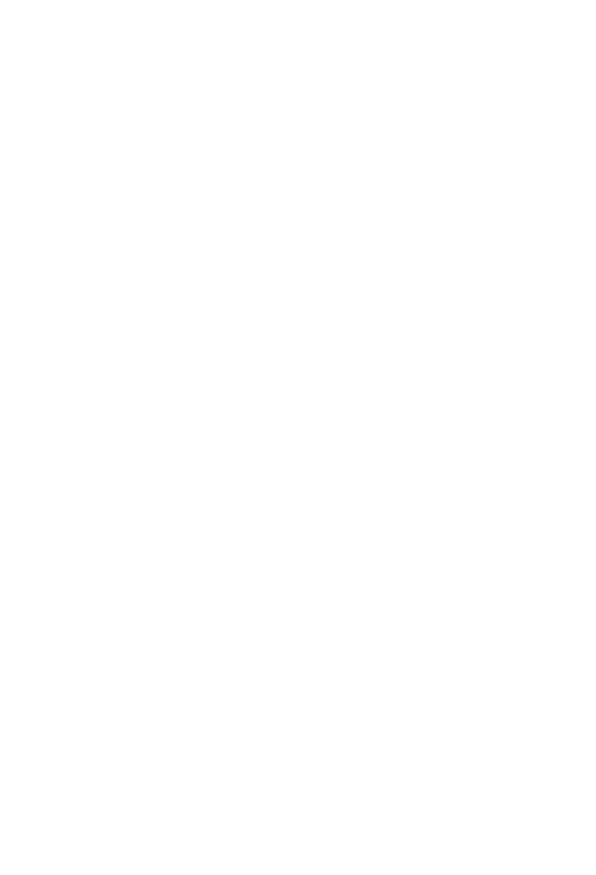55

combination may thus pivot on the trap door. The secondary input to the pivoting challenge would be the commit.

Box 153 is the forming of the response value in such a way that it is consistent with the commit and challenge values. Verifying the response should be convincing when it 5 is formed without the trap-door.

The output arrow of box 153 incident on box 154 is intended to show the transfer of the signature or proof from the creating prover to the receiving verifier. As will be appreciated, not all the values-commit, buff, challenge, 10 response need be communicated. Hash compressions or combinations of values may suffice. For example, but without limitation, the buff could be compressed or hashed, as it can be re-constructed by the verifier, or the response could be exclusive-or'ed with the buff, allowing the verifier to <sup>15</sup> reconstruct the response while still being convinced that the prover knew the buff. (It will be appreciated that this last approach makes the whole transmission uncheckable by an eavesdropper.) Any data transmission sufficient to allow the prover to perform the verification will be considered a <sup>20</sup> "communication" of the proof.

Box 154 is where the verifier ensures that the prover did in fact know the buff corresponding to the trap-door output known to the verifier.

25 Box 155 tests that the challenge is properly formed as the result of applying the agreed combine operation to the trap-door output and the commit.

Box 156 completes the checking of the signature or proof by the verifier confirming that the response is consistent with  $_{30}$ the commit and challenge values.

Turning now to FIG. 2, and particularly referring to FIG. 2a, an overall exemplary combination schematic block diagram for a preferred embodiment of a simple private proof method and apparatus in accordance with the teach-35 ings of the present invention will now be described.

Parameters 201, at least unknown to at least the verifier party for some time, and preferably confidential to the prover party, might for instance have been the result of a random number generator run by the prover and might be 40 considered private key information corresponding to public  $key(s)$  issued by the prover. The parameters 201 are shown as having two outputs, at least one of which should be responsive to any longer-term values; other components of  $45$ these outputs may be random.

Committer 202 takes input from the parameter values 201, and possibly other values, and produces one or more outputs that depend on the parameter inputs but at least do not allow the inputs to be readily reconstructed. The 50 example of showing the squares having secret square roots was already mentioned. Another know technique is to provide the output of other types of one-way function, possibly even without other structure.

Commit 203 is shown as the output of committer 202. This value is shown, as indicated by the arrow without terminating object, as being sent to the verifier.

Buff 204 is a value that can, as already mentioned, be chosen at random by the prover party, but can be constructed in other ways to be described. It may also be sent to the  $60$ verifier, although the verifier could construct it from other values, as has already been described.

Trap-door computation 205 takes its input at least from buff value 204, and possibly from random sources. It is not essential that buff 204 is chosen as random input to com- 65 putation 205, as other ways may be obvious to those of skill in the art to obtain input output pairs for the computation.

One example, already mentioned, would be to take an existing pair and perform an operation on each member of the pair that results in another substantially valid pair, such as by for instance in an RSA or similar system raising both elements to the same power or multiplying component wise by another valid pair. It is believed that any "existentially forgeable" signature scheme may be used, as defined in "A digital signature scheme secure against adaptive chosen message attack," S. Goldwasser, S. Micali, & R. L. Rivest, SIAM Journal of Computing, vol. 17, no. 2, pp. 281-308.

Combining function 206 takes its input from trap door computation  $205$  and commit value  $203$ , both as already described. The intention here, as mentioned already, is to combine the inputs, in a way that allows substantial control over the output in some cases, and prevents it in others. The example shown distinguishes between the cases, respectively, that the verifier knows or does not know the trap-door information. There might, for instance, without limitation, and as already partly mentioned, be other cases, multiple commits, multiple trap-door outputs, and multiple parties involved in the trap-door information. Some forms of the computation performed by combining means 206 will be detailed further with reference to FIG. 2b.

Challenge value 207 results as the output of combining operation 206, and is shown as being provided to the verifier party. This challenge is preferably pivoted on the trap-door operation with the commit as a secondary input. Also, has been noted, this output value along with that of commit 203 may, for instance, allow buff 204 to be calculated using the trap door information. However, it is believed that the verifier would like to know that the buff was actually known to the prover.

Responder 208 takes input from challenge value 207 and parameters 201. It releases output that reveals more, at least in the sense of what can be readily known by computation, about the parameters, responsive to the what is required by the challenge. In the Fiat-Shamir example, this would be some square roots that do not allow the private key to be determined but which are chosen from a larger set by the challenge. It is believed that the intuition for some known schemes is that if such a response were issued for all possible challenges, then the private key would be revealed and the property proved would also be established; but revealing only enough to satisfy the challenge also convinces because of the uncontrollability of the challenge.

Response 209, the output of responder 208, is the fourth and final value shown, in this exemplary embodiment, as transmitted by the prover to the verifier.

Referring now to FIG.  $2b$ , an exemplary embodiment of a combining component will now be described in detail.

Simple combiner 250 is shown so as to suggest a bit-wise exclusive-or, modular addition or multiplication. A property, already mentioned, is that knowing the trap door information should allow the output to be manipulated and not knowing it should make such manipulation substantially infeasible. In case attacks are known, or it is felt that the inputs and or outputs are not sure enough to be resistant against manipulation by each other through a simple group operator, more complex combining structures may be desired.

Conditioning mapping 251 removes structure from the output of simple combiner 250, intended as challenge 207, mentioned above.

Conditioning mappings 252 and 253 remove structure communicated between the simple combiner and inputs from trap-door computation  $205$  and commit value  $203$ . respectively.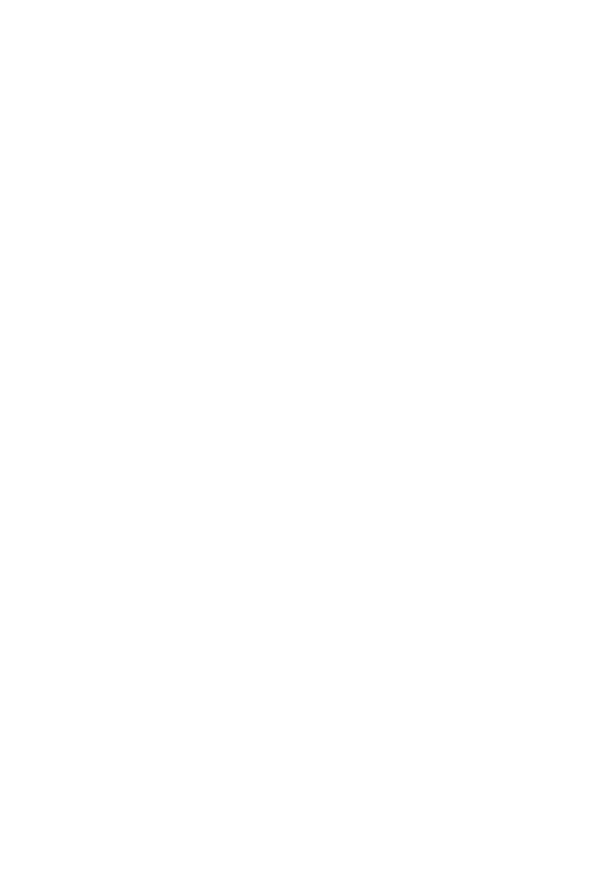15

Some non-exhaustive example ways to achieve such conditioning mappings will be sketched for completeness. A group operation using a different representation, such as x-or for the simple combiner and modular addition for the conditioning function(s), is a well known way to achieve 5 some protection at low cost. An arbitrary hash or one-way function could be used where invertability is not required, such as is believed may be the case for the commit. Where substantial invertability is needed, such as for the buff 204 and challenge 207, conditioning operations 252 and 251, 10 respectively, a blockcipher structure with non-secret key might be used. The conditioning operation might also provide some conversion, such as conforming the size or representation of its input(s) and output.

### DETAILED DESCRIPTION OF PREFERRED **EMBODIMENTS**

While it is believed that the notation of FIGS. 2–6 would  $_{20}$ be clear to those of ordinary skill in the art, it is first reviewed here for definiteness.

The operations performed are grouped together into flowchart boxes. The column that a box is in indicates which party performs the operations defined in that box. The  $_{25}$ columns are labeled by party name across the top: "P" for prover or signer, "C" for confirmer, and "V" for verifier or recipient.

One kind of operation is an equality test. The " $?=$ " symbol is used to indicate such a test, and the party 30 conducting the test terminates the protocol if the equality does not hold. (If the test is the last operation to be performed by a party during a protocol, then the success or failure of the test determines the party's success or failure with the protocol.)  $35$ 

Another kind of operation is that of sending a message. This is shown by a message number on the left: followed by a recipient name and an arrow (these appear for readability as either a recipient name then left pointing arrow, when the recipient is on the left: or right pointing arrow then recipient 40 name, when the recipient is on the right); followed by a colon; finally followed by an expression denoting the actual value of the message that should be sent. (These operations are depicted in a "bold" typeface for clarity.) Square brackets are used to delimit message numbers and such an <sup>45</sup> expression stands for the value of the corresponding message.

The further operation of saving a value under a symbolic name is denoted by the symbolic name on the left-hand-side 50 of an equal sign and an expression on the right-hand-side.

Several kinds of expressions are used. One is just the word "random." This indicates that a value is preferably chosen uniformly from an appropriate set of values (defined in the text where not obvious to those of skill in the art) and 55 that is chosen independently of everything else in the protocol. Creation of random values has already been mentioned.

A further kind of expression involves exponentiation. All such exponentiation (unless noted otherwise) is in a single  $_{60}$ public finite group. When no operation is shown explicitly, multiplication in such a group is assumed.

The particular choice of the group under which the exemplary embodiments may operate is not essential to the invention, however, for completeness some exemplary 65 groups believed suitable will now be discussed along with their representations and some relevant considerations.

One general category of preferred exemplary embodiment would use a group of prime order. Such a group should preferably have a representation for which the already mentioned discrete log problem is believed difficult to solve in practice and for which the group operation and exponentiation are readily performed. Some such groups are now described.

Many suitable groups and representations are known in the art, such as those disclosed in the "Undeniable signature" reference mentioned above. Nevertheless, an exemplary construction believed suitable will now be described for completeness. It is based on the multiplicative group of residue classes modulo q, with  $q-1=2p$  and p a prime, whose least positive representatives are less than or equal to p. The group operation is ordinary multiplication modulo p, except that the result is normalized by taking either the product itself or its additive inverse, whichever has the smaller least positive representative. Thus, all integers between 1 and p inclusive may be regarded as representing the members of the group, such membership being easy to check and such members being easy to map to from some original message space.

Turning now to FIG. 3, a preferred embodiment of an undeniable-signature-style private proof will now be described in detail. It may be thought of as a transaction means or method in which party V is the (intended) recipient such a signature from party P.

Box 301 begins by showing party P first creating a value y at random. Then P is shown forming message [3.0] by taking public generator g to the y power, all in the group of prime order, as mentioned above. This box may be regarded as the creation of the private key and issuing of the corresponding public key of party P.

Box 302 is the issuing of the signature by P to V. It may typically occur much later than box 301. First two values are chosen at random. One is w, which will be an exponent, the other is b, which will be used as the buff for the signature. Four values are easily calculated and sent as messages forming the signature: message  $[3.1]$  is the public generator g raised to the w power; [3.2] is the message m, assumed for clarity known to both P and V, raised to the w power: [3.3] ] is message m raised to the y power from box 301; and [3.4] is the value b already mentioned. Party P is shown for clarity forming challenge c simply as the x-or of two quantities. The first is the trap-door function t applied to the random buff b. The second is the one-way or hash function f (box 253 in FIG. 2b) applied to three values, or, essentially equivalently, to their concatenation. The three values are messages  $[3.1]$ through [3.3] as already described. Message [3.5], also sent to V, is formed as the sum of two values, w and the product of c and y, all reduced modulo the order q of the group.

Box 303 is the testing by V of the signature received from P as messages  $[3.1]$  through  $[3.5]$ , as related to the public key received as [3.0]. A temporary variable c' is formed, corresponding to the value c formed by P, to store the value of the challenge computed by V also as the exclusive-or of two values. The first is the trap-door function t, already mentioned, applied to message [3.4]. The second is the one way function f applied to three values, again as already described, messages [3.1] through [3.3]. Two equalities are tested. The first compares generator g, already mentioned, raised to the message [3.5] power, for equality with the product of message  $[3.1]$  and the quantity message  $[3.01]$ raised to the c' power. The second compares message m, already mentioned, also raised to the [3.5] power, to a product of message  $[3.21]$  and the quantity message  $[3.3]$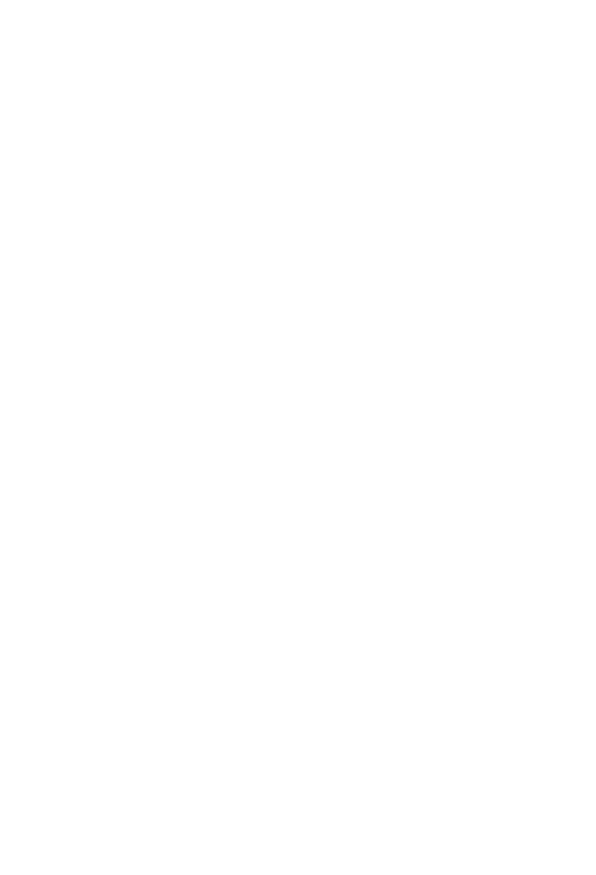raised to the c' power. If the two equalities hold, V is convinced of the validity of the signature (assuming it is known that the secrets of V were not used in forming the signature).

Turning now to FIG. 4, a preferred embodiment of a 5 designated-confirmer-like private proof will now be described in detail. It may be thought of as a transaction in which party V is convinced by party P that a signature could be confirmed by party C.

10 Box 401 begins by showing the creation by C of a private key y at random and the dissemination of the corresponding public key to parties P and V as message [4.0]. Of course there are many ways of getting this public key to P and V.

Box 402 shows how P forms the signature, based in part  $15$ on the public key issued in box 401, comprising messages [4.1] through [4.7], that will be verified by V. Three values are created at random: buff b and value w, both much as in FIG. 3; and the value v chosen as an exponent, as is w. Message  $[4.1]$  is just the generator g raised to the w power.  $20$ Message  $[4.2]$  is the public key, formed by C in box 401, raised to the w power. Message [4.3] is also the public key, but this time raised to the v power. Message [4.4] is simply the value b. The challenge c is formed just as in box 302, by applying the trap door function to b and x-or'ing the result  $_{25}$ with the hash of  $[4.1]$  through  $[4.3]$ . Message  $[4.5]$ , essentially like [3.5] but with v substituted for y, is the sum of the value w and the product of the values c and v, with the output reduced modulo q. Message [4.6] is just g raised to the v power. Message [4.7] is shown as an ordinary digital sig-30 nature creating operation s, corresponding to a public key of P not shown for clarity. The value signed by s is shown for clarity as the result of an exclusive-or operation. One input to the x-or is the message m, just as in FIG. 3, to be signed. The other input is the result of applying an invertable 35 "cryptographic" function, as described in the above referenced "Designated confirmer signature systems," to the pair of values g raised to the v power and g raised to the power v times y. It will be appreciated that this technique is a generalization of the exemplary embodiments employed in  $_{40}$ that reference.

Box 403 is the verification by V of the signature comprising the messages [4.1] through [4.7] received form V, corresponding to the public key of C. The temporary value c' is formed, much as c was formed by P, as the exclusive-or  $_{45}$ of an image under t and one under f. The argument for t is message [4.4] received; that for f is the triple [4.1], [4.2], [4.3]. Two equalities, of similar form to those of box 303, are verified. The left-hand-sides, respectively, are  $g$  and  $[4.0]$ , each raised to the  $[4.5]$  power. The fight-hand-sides are,  $\zeta_0$ respectively, [4.6] raised to the c' the quantity times [4.1]. and [4.3] to the c' the quantity times [4.2]. Finally, V verifies the signature by P issued as message [4.7], which is denoted simply as "check [4.7] is sig on," since this could be any sort of public key signature technique, as already mentioned. The 55 value signed is the exclusive-or of the basic message m and the invertable cryptographic function h applied to [4.6] and [4.3]. If these three conditions are met, V accepts the process as convincing that C could confirm the signature on m by P.

As would be obvious to those of ordinary skill in the art. 60 there are many essentially equivalent orders to evaluate expressions; ways to evaluate expressions; ways to order expressions, tests, and transmissions within flowchart boxes; ways to group operations into flowchart boxes; and ways to order flowchart boxes. The particular choices that have been 65 made here are merely for clarity in exposition and are sometimes arbitrary. Also the order in which messages are

generated within a box and sent may be of little or no significance.

It will also be obvious to those of ordinary skill in the art how parts of the inventive concepts and protocols herein disclosed can be used to advantage without necessitating the complete preferred embodiment. This may be more fully appreciated in light of some examples: Pivoted challenges could be used without commits or for other purposes altogether. Public keys could simply be issued along with signatures. Interaction could be used to allow the intended recipient to supply some of the values used in a proof. And the need for preparation, transmission, and verification of data may be reduced by other partial or related proofs known and/or obtained from other sources.

Certain variations and substitutions may be apparent to those of ordinary skill in the art. For example: Most practical trap-door functions or even signature schemes that allow existential forgery could be applied instead of the RSA systems used as an example. And any scheme for involving multiple confirmers could be used.

While these descriptions of the present invention have been given as examples, it will be appreciated by those of ordinary skill in the art that various modifications, alternate configurations and equivalents may be employed without departing from the spirit and scope of the present invention.

What is claimed is:

1. In a cryptographic proof system, in which a prover party is to convince a recipient party of an assertion, the improvement comprising the steps of:

- performing at least a first cryptographic operation by said prover party in preparing a first proof of said assertion for said recipient party;
- possessing, by said recipient party, of trap-door information corresponding to said first cryptographic operation: and
- all such that (1) said proof is substantially convincing to said recipient party; and (2) said trap-door information substantially allows said recipient party, having said assertion but without having received said first proof, to develop at least a substantially equivalent proof of said assertion, thereby substantially obscuring at least which of said prover and said recipient parties originated said first proof from parties other than said prover and said recipient parties.

2. In the method of claim 1, said recipient being able to develop substantially equivalent proofs of false assertions.

3. In the method of claim 1, said proof being of the validity of a signature corresponding to a public key of at least one signature party, and said proof allowing a proof by said at least one signature party of validity when said signature is valid and allowing proof of invalidity by said signature party of said signature when an alleged said signature is invalid.

4. In the method of claim 3, said signature party being said prover.

5. In the method of claim 3, said signature party being a third party.

6. In the method of claim 3, said signature party including cooperation of at least two parties other than the recipient.

7. In an undeniable signature system, the improvement comprising the step of: completing a signature showing and a confirmation by a single message sent from the prover party to the recipient party.

8. In a designated confirmer signature system, the improvement comprising the step of: completing a signature showing and a confirmation by a single message sent from the prover party to the recipient party.